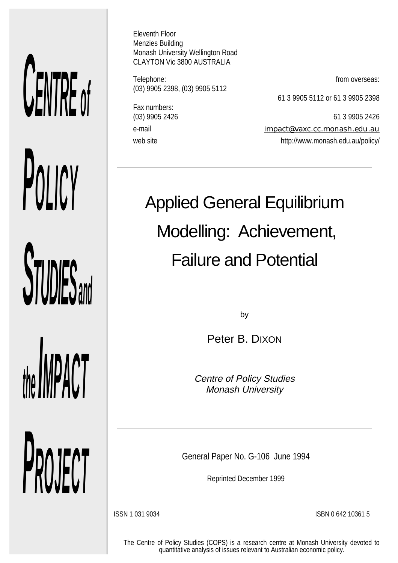# *CENTRE of POLICY* **STUDIES** and *the IMPACT*

*PROJECT*

Eleventh Floor Menzies Building Monash University Wellington Road CLAYTON Vic 3800 AUSTRALIA

Telephone: **from overseas:** (03) 9905 2398, (03) 9905 5112

61 3 9905 5112 or 61 3 9905 2398

Fax numbers:

(03) 9905 2426 61 3 9905 2426 e-mail impact@vaxc.cc.monash.edu.au web site http://www.monash.edu.au/policy/

# Applied General Equilibrium Modelling: Achievement, Failure and Potential

by

Peter B. DIXON

Centre of Policy Studies Monash University

General Paper No. G-106 June 1994

Reprinted December 1999

ISSN 1 031 9034 ISBN 0 642 10361 5

The Centre of Policy Studies (COPS) is a research centre at Monash University devoted to quantitative analysis of issues relevant to Australian economic policy.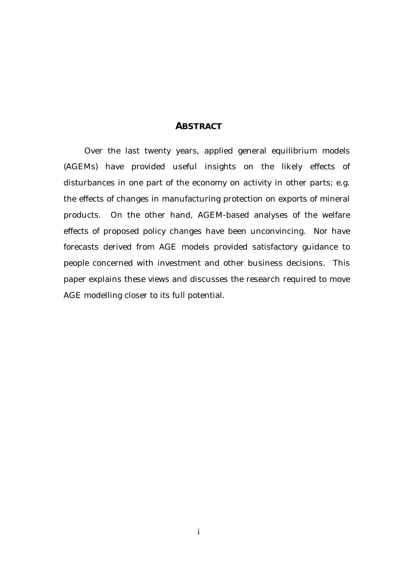## *ABSTRACT*

Over the last twenty years, applied general equilibrium models (AGEMs) have provided useful insights on the likely effects of disturbances in one part of the economy on activity in other parts; e.g. the effects of changes in manufacturing protection on exports of mineral products. On the other hand, AGEM-based analyses of the welfare effects of proposed policy changes have been unconvincing. Nor have forecasts derived from AGE models provided satisfactory guidance to people concerned with investment and other business decisions. This paper explains these views and discusses the research required to move AGE modelling closer to its full potential.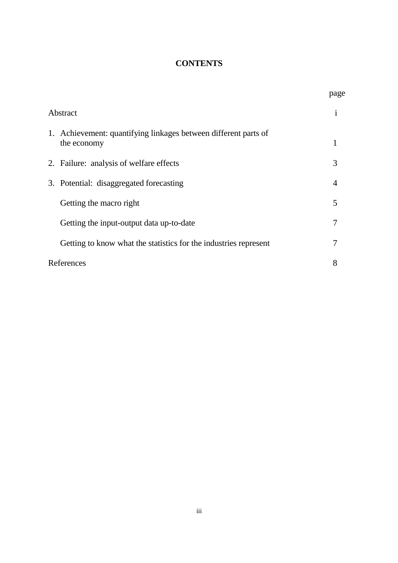# **CONTENTS**

|          |                                                                                | page |
|----------|--------------------------------------------------------------------------------|------|
| Abstract |                                                                                | 1    |
|          | 1. Achievement: quantifying linkages between different parts of<br>the economy |      |
|          | 2. Failure: analysis of welfare effects                                        | 3    |
|          | 3. Potential: disaggregated forecasting                                        | 4    |
|          | Getting the macro right                                                        | 5    |
|          | Getting the input-output data up-to-date                                       | 7    |
|          | Getting to know what the statistics for the industries represent               | 7    |
|          | References                                                                     |      |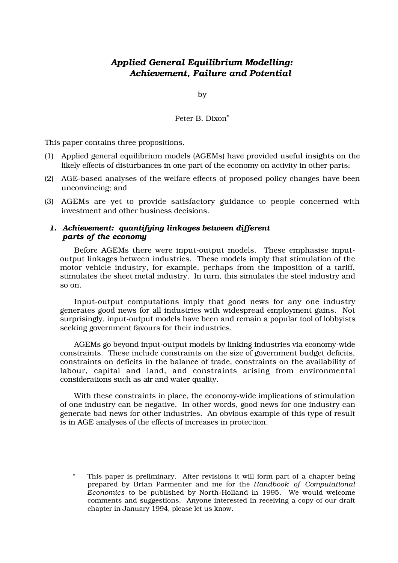# *Applied General Equilibrium Modelling: Achievement, Failure and Potential*

by

Peter B. Dixon\*

This paper contains three propositions.

- (1) Applied general equilibrium models (AGEMs) have provided useful insights on the likely effects of disturbances in one part of the economy on activity in other parts;
- (2) AGE-based analyses of the welfare effects of proposed policy changes have been unconvincing; and
- (3) AGEMs are yet to provide satisfactory guidance to people concerned with investment and other business decisions.

### *1. Achievement: quantifying linkages between different parts of the economy*

Before AGEMs there were input-output models. These emphasise inputoutput linkages between industries. These models imply that stimulation of the motor vehicle industry, for example, perhaps from the imposition of a tariff, stimulates the sheet metal industry. In turn, this simulates the steel industry and so on.

Input-output computations imply that good news for any one industry generates good news for all industries with widespread employment gains. Not surprisingly, input-output models have been and remain a popular tool of lobbyists seeking government favours for their industries.

AGEMs go beyond input-output models by linking industries via economy-wide constraints. These include constraints on the size of government budget deficits, constraints on deficits in the balance of trade, constraints on the availability of labour, capital and land, and constraints arising from environmental considerations such as air and water quality.

With these constraints in place, the economy-wide implications of stimulation of one industry can be negative. In other words, good news for one industry can generate bad news for other industries. An obvious example of this type of result is in AGE analyses of the effects of increases in protection.

This paper is preliminary. After revisions it will form part of a chapter being prepared by Brian Parmenter and me for the *Handbook of Computational Economics* to be published by North-Holland in 1995. We would welcome comments and suggestions. Anyone interested in receiving a copy of our draft chapter in January 1994, please let us know.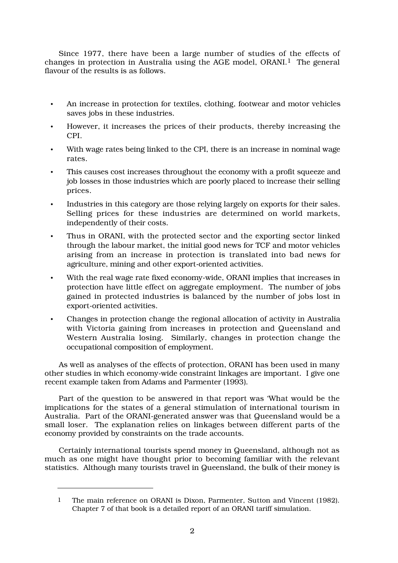Since 1977, there have been a large number of studies of the effects of changes in protection in Australia using the AGE model, ORANI.<sup>1</sup> The general flavour of the results is as follows.

- An increase in protection for textiles, clothing, footwear and motor vehicles saves jobs in these industries.
- However, it increases the prices of their products, thereby increasing the CPI.
- With wage rates being linked to the CPI, there is an increase in nominal wage rates.
- This causes cost increases throughout the economy with a profit squeeze and job losses in those industries which are poorly placed to increase their selling prices.
- Industries in this category are those relying largely on exports for their sales. Selling prices for these industries are determined on world markets, independently of their costs.
- Thus in ORANI, with the protected sector and the exporting sector linked through the labour market, the initial good news for TCF and motor vehicles arising from an increase in protection is translated into bad news for agriculture, mining and other export-oriented activities.
- With the real wage rate fixed economy-wide, ORANI implies that increases in protection have little effect on aggregate employment. The number of jobs gained in protected industries is balanced by the number of jobs lost in export-oriented activities.
- Changes in protection change the regional allocation of activity in Australia with Victoria gaining from increases in protection and Queensland and Western Australia losing. Similarly, changes in protection change the occupational composition of employment.

As well as analyses of the effects of protection, ORANI has been used in many other studies in which economy-wide constraint linkages are important. I give one recent example taken from Adams and Parmenter (1993).

Part of the question to be answered in that report was 'What would be the implications for the states of a general stimulation of international tourism in Australia. Part of the ORANI-generated answer was that Queensland would be a small loser. The explanation relies on linkages between different parts of the economy provided by constraints on the trade accounts.

Certainly international tourists spend money in Queensland, although not as much as one might have thought prior to becoming familiar with the relevant statistics. Although many tourists travel in Queensland, the bulk of their money is

<sup>1</sup> The main reference on ORANI is Dixon, Parmenter, Sutton and Vincent (1982). Chapter 7 of that book is a detailed report of an ORANI tariff simulation.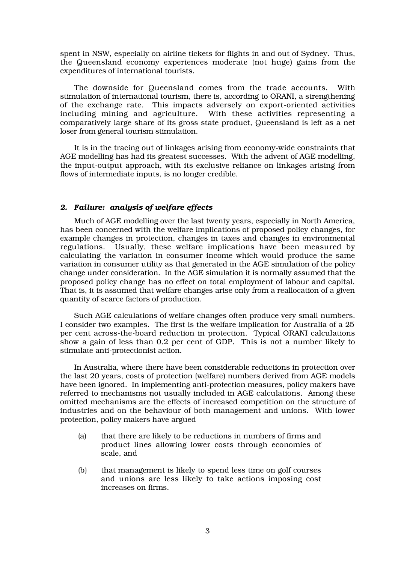spent in NSW, especially on airline tickets for flights in and out of Sydney. Thus, the Queensland economy experiences moderate (not huge) gains from the expenditures of international tourists.

The downside for Queensland comes from the trade accounts. With stimulation of international tourism, there is, according to ORANI, a strengthening of the exchange rate. This impacts adversely on export-oriented activities including mining and agriculture. With these activities representing a comparatively large share of its gross state product, Queensland is left as a net loser from general tourism stimulation.

It is in the tracing out of linkages arising from economy-wide constraints that AGE modelling has had its greatest successes. With the advent of AGE modelling, the input-output approach, with its exclusive reliance on linkages arising from flows of intermediate inputs, is no longer credible.

### *2. Failure: analysis of welfare effects*

Much of AGE modelling over the last twenty years, especially in North America, has been concerned with the welfare implications of proposed policy changes, for example changes in protection, changes in taxes and changes in environmental regulations. Usually, these welfare implications have been measured by calculating the variation in consumer income which would produce the same variation in consumer utility as that generated in the AGE simulation of the policy change under consideration. In the AGE simulation it is normally assumed that the proposed policy change has no effect on total employment of labour and capital. That is, it is assumed that welfare changes arise only from a reallocation of a given quantity of scarce factors of production.

Such AGE calculations of welfare changes often produce very small numbers. I consider two examples. The first is the welfare implication for Australia of a 25 per cent across-the-board reduction in protection. Typical ORANI calculations show a gain of less than 0.2 per cent of GDP. This is not a number likely to stimulate anti-protectionist action.

In Australia, where there have been considerable reductions in protection over the last 20 years, costs of protection (welfare) numbers derived from AGE models have been ignored. In implementing anti-protection measures, policy makers have referred to mechanisms not usually included in AGE calculations. Among these omitted mechanisms are the effects of increased competition on the structure of industries and on the behaviour of both management and unions. With lower protection, policy makers have argued

- (a) that there are likely to be reductions in numbers of firms and product lines allowing lower costs through economies of scale, and
- (b) that management is likely to spend less time on golf courses and unions are less likely to take actions imposing cost increases on firms.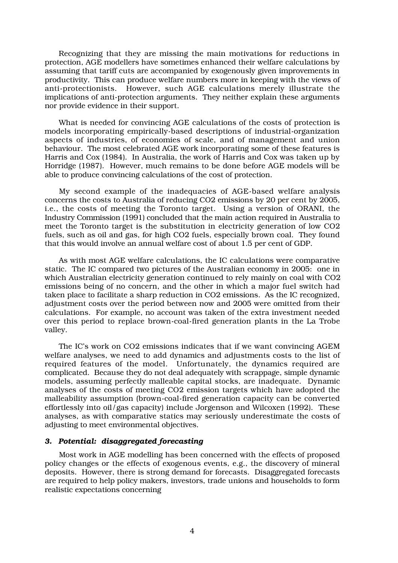Recognizing that they are missing the main motivations for reductions in protection, AGE modellers have sometimes enhanced their welfare calculations by assuming that tariff cuts are accompanied by exogenously given improvements in productivity. This can produce welfare numbers more in keeping with the views of anti-protectionists. However, such AGE calculations merely illustrate the implications of anti-protection arguments. They neither explain these arguments nor provide evidence in their support.

What is needed for convincing AGE calculations of the costs of protection is models incorporating empirically-based descriptions of industrial-organization aspects of industries, of economies of scale, and of management and union behaviour. The most celebrated AGE work incorporating some of these features is Harris and Cox (1984). In Australia, the work of Harris and Cox was taken up by Horridge (1987). However, much remains to be done before AGE models will be able to produce convincing calculations of the cost of protection.

My second example of the inadequacies of AGE-based welfare analysis concerns the costs to Australia of reducing CO2 emissions by 20 per cent by 2005, i.e., the costs of meeting the Toronto target. Using a version of ORANI, the Industry Commission (1991) concluded that the main action required in Australia to meet the Toronto target is the substitution in electricity generation of low CO2 fuels, such as oil and gas, for high CO2 fuels, especially brown coal. They found that this would involve an annual welfare cost of about 1.5 per cent of GDP.

As with most AGE welfare calculations, the IC calculations were comparative static. The IC compared two pictures of the Australian economy in 2005: one in which Australian electricity generation continued to rely mainly on coal with CO2 emissions being of no concern, and the other in which a major fuel switch had taken place to facilitate a sharp reduction in CO2 emissions. As the IC recognized, adjustment costs over the period between now and 2005 were omitted from their calculations. For example, no account was taken of the extra investment needed over this period to replace brown-coal-fired generation plants in the La Trobe valley.

The IC's work on CO2 emissions indicates that if we want convincing AGEM welfare analyses, we need to add dynamics and adjustments costs to the list of required features of the model. Unfortunately, the dynamics required are complicated. Because they do not deal adequately with scrappage, simple dynamic models, assuming perfectly malleable capital stocks, are inadequate. Dynamic analyses of the costs of meeting CO2 emission targets which have adopted the malleability assumption (brown-coal-fired generation capacity can be converted effortlessly into oil/gas capacity) include Jorgenson and Wilcoxen (1992). These analyses, as with comparative statics may seriously underestimate the costs of adjusting to meet environmental objectives.

### *3. Potential: disaggregated forecasting*

Most work in AGE modelling has been concerned with the effects of proposed policy changes or the effects of exogenous events, e.g., the discovery of mineral deposits. However, there is strong demand for forecasts. Disaggregated forecasts are required to help policy makers, investors, trade unions and households to form realistic expectations concerning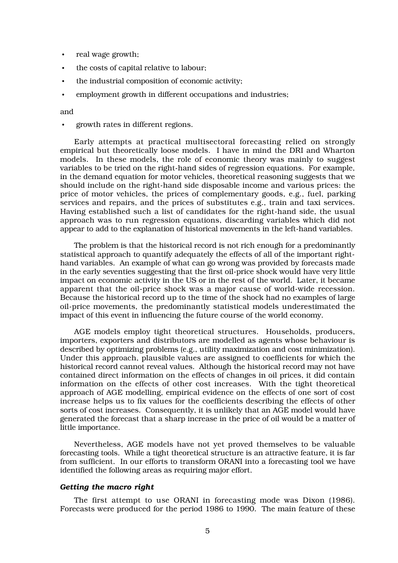- real wage growth;
- the costs of capital relative to labour;
- the industrial composition of economic activity;
- employment growth in different occupations and industries;

and

• growth rates in different regions.

Early attempts at practical multisectoral forecasting relied on strongly empirical but theoretically loose models. I have in mind the DRI and Wharton models. In these models, the role of economic theory was mainly to suggest variables to be tried on the right-hand sides of regression equations. For example, in the demand equation for motor vehicles, theoretical reasoning suggests that we should include on the right-hand side disposable income and various prices: the price of motor vehicles, the prices of complementary goods, e.g., fuel, parking services and repairs, and the prices of substitutes e.g., train and taxi services. Having established such a list of candidates for the right-hand side, the usual approach was to run regression equations, discarding variables which did not appear to add to the explanation of historical movements in the left-hand variables.

The problem is that the historical record is not rich enough for a predominantly statistical approach to quantify adequately the effects of all of the important righthand variables. An example of what can go wrong was provided by forecasts made in the early seventies suggesting that the first oil-price shock would have very little impact on economic activity in the US or in the rest of the world. Later, it became apparent that the oil-price shock was a major cause of world-wide recession. Because the historical record up to the time of the shock had no examples of large oil-price movements, the predominantly statistical models underestimated the impact of this event in influencing the future course of the world economy.

AGE models employ tight theoretical structures. Households, producers, importers, exporters and distributors are modelled as agents whose behaviour is described by optimizing problems (e.g., utility maximization and cost minimization). Under this approach, plausible values are assigned to coefficients for which the historical record cannot reveal values. Although the historical record may not have contained direct information on the effects of changes in oil prices, it did contain information on the effects of other cost increases. With the tight theoretical approach of AGE modelling, empirical evidence on the effects of one sort of cost increase helps us to fix values for the coefficients describing the effects of other sorts of cost increases. Consequently, it is unlikely that an AGE model would have generated the forecast that a sharp increase in the price of oil would be a matter of little importance.

Nevertheless, AGE models have not yet proved themselves to be valuable forecasting tools. While a tight theoretical structure is an attractive feature, it is far from sufficient. In our efforts to transform ORANI into a forecasting tool we have identified the following areas as requiring major effort.

### *Getting the macro right*

The first attempt to use ORANI in forecasting mode was Dixon (1986). Forecasts were produced for the period 1986 to 1990. The main feature of these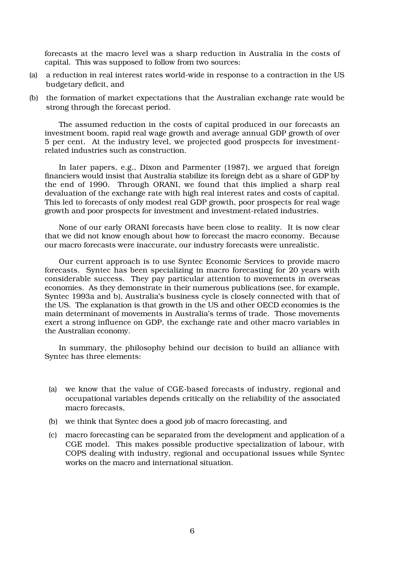forecasts at the macro level was a sharp reduction in Australia in the costs of capital. This was supposed to follow from two sources:

- (a) a reduction in real interest rates world-wide in response to a contraction in the US budgetary deficit, and
- (b) the formation of market expectations that the Australian exchange rate would be strong through the forecast period.

The assumed reduction in the costs of capital produced in our forecasts an investment boom, rapid real wage growth and average annual GDP growth of over 5 per cent. At the industry level, we projected good prospects for investmentrelated industries such as construction.

In later papers, e.g., Dixon and Parmenter (1987), we argued that foreign financiers would insist that Australia stabilize its foreign debt as a share of GDP by the end of 1990. Through ORANI, we found that this implied a sharp real devaluation of the exchange rate with high real interest rates and costs of capital. This led to forecasts of only modest real GDP growth, poor prospects for real wage growth and poor prospects for investment and investment-related industries.

None of our early ORANI forecasts have been close to reality. It is now clear that we did not know enough about how to forecast the macro economy. Because our macro forecasts were inaccurate, our industry forecasts were unrealistic.

Our current approach is to use Syntec Economic Services to provide macro forecasts. Syntec has been specializing in macro forecasting for 20 years with considerable success. They pay particular attention to movements in overseas economies. As they demonstrate in their numerous publications (see, for example, Syntec 1993a and b), Australia's business cycle is closely connected with that of the US. The explanation is that growth in the US and other OECD economies is the main determinant of movements in Australia's terms of trade. Those movements exert a strong influence on GDP, the exchange rate and other macro variables in the Australian economy.

In summary, the philosophy behind our decision to build an alliance with Syntec has three elements:

- (a) we know that the value of CGE-based forecasts of industry, regional and occupational variables depends critically on the reliability of the associated macro forecasts,
- (b) we think that Syntec does a good job of macro forecasting, and
- (c) macro forecasting can be separated from the development and application of a CGE model. This makes possible productive specialization of labour, with COPS dealing with industry, regional and occupational issues while Syntec works on the macro and international situation.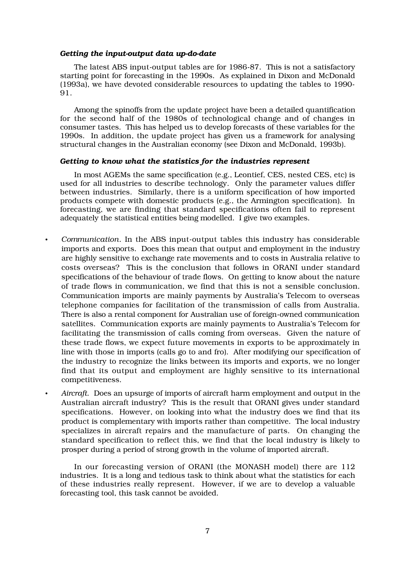### *Getting the input-output data up-do-date*

The latest ABS input-output tables are for 1986-87. This is not a satisfactory starting point for forecasting in the 1990s. As explained in Dixon and McDonald (1993a), we have devoted considerable resources to updating the tables to 1990- 91.

Among the spinoffs from the update project have been a detailed quantification for the second half of the 1980s of technological change and of changes in consumer tastes. This has helped us to develop forecasts of these variables for the 1990s. In addition, the update project has given us a framework for analysing structural changes in the Australian economy (see Dixon and McDonald, 1993b).

### *Getting to know what the statistics for the industries represent*

In most AGEMs the same specification (e.g., Leontief, CES, nested CES, etc) is used for all industries to describe technology. Only the parameter values differ between industries. Similarly, there is a uniform specification of how imported products compete with domestic products (e.g., the Armington specification). In forecasting, we are finding that standard specifications often fail to represent adequately the statistical entities being modelled. I give two examples.

- *Communication*. In the ABS input-output tables this industry has considerable imports and exports. Does this mean that output and employment in the industry are highly sensitive to exchange rate movements and to costs in Australia relative to costs overseas? This is the conclusion that follows in ORANI under standard specifications of the behaviour of trade flows. On getting to know about the nature of trade flows in communication, we find that this is not a sensible conclusion. Communication imports are mainly payments by Australia's Telecom to overseas telephone companies for facilitation of the transmission of calls from Australia. There is also a rental component for Australian use of foreign-owned communication satellites. Communication exports are mainly payments to Australia's Telecom for facilitating the transmission of calls coming from overseas. Given the nature of these trade flows, we expect future movements in exports to be approximately in line with those in imports (calls go to and fro). After modifying our specification of the industry to recognize the links between its imports and exports, we no longer find that its output and employment are highly sensitive to its international competitiveness.
	- *Aircraft.* Does an upsurge of imports of aircraft harm employment and output in the Australian aircraft industry? This is the result that ORANI gives under standard specifications. However, on looking into what the industry does we find that its product is complementary with imports rather than competitive. The local industry specializes in aircraft repairs and the manufacture of parts. On changing the standard specification to reflect this, we find that the local industry is likely to prosper during a period of strong growth in the volume of imported aircraft.

In our forecasting version of ORANI (the MONASH model) there are 112 industries. It is a long and tedious task to think about what the statistics for each of these industries really represent. However, if we are to develop a valuable forecasting tool, this task cannot be avoided.